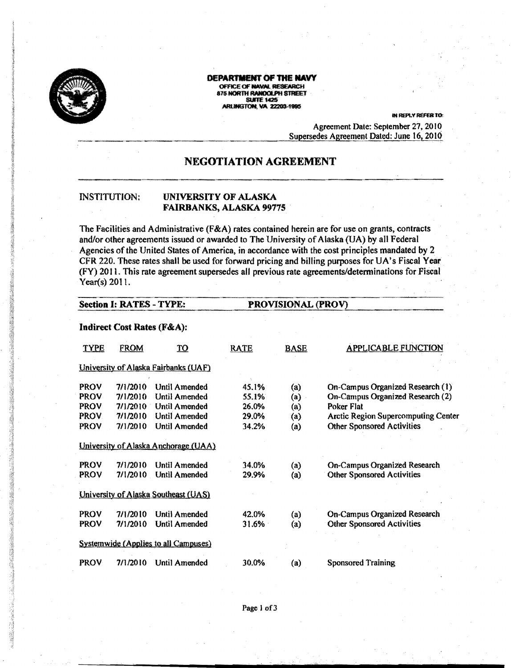

# 0EPARlMBIT OF **tHE NAVY**

OFFICE OF NAVAL RESEARCH ays North Randolph Street.<br>'Suite 1425 ARLINGTON, VA 22203-1996

IN REPLY REFER TO:

Agreement Date: September 27. 2010 Supersedes Agreement Dated: June 16, 2010

# NEGOTIATION AGREEMENT

### INSTITUTION: UNIVERSITY OF ALASKA FAIRBANKS, ALASKA 99775

The Facilities and Administrative (F&A) rates contained herein are for use on grants, contracts and/or other agreements issued or awarded to The University of Alaska (UA) by all Federal Agencies of the United States of America. in accordance with the cost principles mandated by 2 CFR 220. These rates shall be used for forward pricing and billing purposes for UA's Fiscal Year (FY) 20 II. This rate agreement supersedes aU previous rate agreements/determinations for Fiscal Year(s) 2011.

## Section I: RATES - TYPE: PROVISIONAL (PROV)

#### Indirect Cost Rates (F&A):

| <b>TYPE</b>                          | <b>FROM</b>                                              | <u> TO</u>                                                                        | <b>RATE</b>                               | <b>BASE</b>                                                 | <b>APPLICABLE FUNCTION</b>                                                                                                                                            |
|--------------------------------------|----------------------------------------------------------|-----------------------------------------------------------------------------------|-------------------------------------------|-------------------------------------------------------------|-----------------------------------------------------------------------------------------------------------------------------------------------------------------------|
|                                      |                                                          | University of Alaska Fairbanks (UAF)                                              |                                           |                                                             |                                                                                                                                                                       |
| PROV<br>PROV<br>PROV<br>PROV<br>PROV | 7/1/2010<br>7/1/2010<br>7/1/2010<br>7/1/2010<br>7/1/2010 | Until Amended<br>Until Amended<br>Until Amended<br>Until Amended<br>Until Amended | 45.1%<br>55.1%<br>26.0%<br>29.0%<br>34.2% | $\left( a\right)$<br>(a)<br>$\left( a\right)$<br>(a)<br>(a) | On-Campus Organized Research (1)<br>On-Campus Organized Research (2)<br>Poker Flat<br><b>Arctic Region Supercomputing Center</b><br><b>Other Sponsored Activities</b> |
|                                      |                                                          | University of Alaska Anchorage (UAA)                                              |                                           |                                                             |                                                                                                                                                                       |
| PROV<br><b>PROV</b>                  | 7/1/2010<br>7/1/2010                                     | <b>Until Amended</b><br><b>Until Amended</b>                                      | 34.0%<br>29.9%                            | (a)<br>(a)                                                  | On-Campus Organized Research<br><b>Other Sponsored Activities</b>                                                                                                     |
|                                      |                                                          | <b>University of Alaska Southeast (UAS)</b>                                       |                                           |                                                             |                                                                                                                                                                       |
| PROV<br>PROV                         | 7/1/2010<br>7/1/2010                                     | <b>Until Amended</b><br>Until Amended                                             | 42.0%<br>31.6%                            | (a)<br>(a)                                                  | <b>On-Campus Organized Research</b><br><b>Other Sponsored Activities</b>                                                                                              |
|                                      |                                                          | <b>Systemwide (Applies to all Campuses)</b>                                       |                                           |                                                             |                                                                                                                                                                       |
| <b>PROV</b>                          | 7/1/2010                                                 | Until Amended                                                                     | 30.0%                                     | (a)                                                         | <b>Sponsored Training</b>                                                                                                                                             |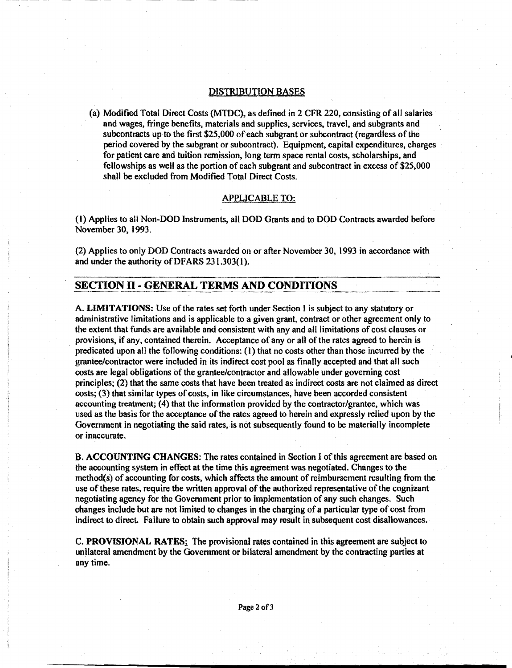#### DISTRIBUTION BASES

(a) Modified Total Direct Costs (MTDC), as defined in 2 CFR 220, consisting of all salaries and wages, fringe benefits, materials and supplies, services. travel, and subgrants and subcontracts up to the first \$25,000 of each subgrant or subcontract (regardless of the period covered by the subgrant or subcontract). Equipment, capital expenditures, charges for patient care and tuition remission, long term space rental costs, scholarships, and fellowships as well as the portion ofeach subgrant and subcontract in excess of \$25,000 shall be excluded from Modified Total Direct Costs.

#### APPLICABLe TO:

(I) Applies to all Non-DOD Instruments, all DOD Grants and to DOD Contracts awarded before November 30, 1993.

(2) Applies to only DOD Contracts awarded on or after November 30. 1993 in accordance with and under the authority of DFARS 231.303(1).

# SECTION II - GENERAL TERMS AND CONDITIONS

A. LIMITATIONS: Use of the rates set forth under Section I is subject to any statutory or administrative limitations and is applicable to a given grant, contract or other agreement only to the extent that funds are available and consistent with any and all limitations of cost clauses or provisions, if any. contained therein. Acceptance of any or all of the rates agreed to herein is predicated upon all the following conditions: (1) that no costs other than those incurred by the grantee/contractor were included in its indirect cost pool as finally accepted and that all such costs are legal obligations of the grantee/contractor and allowable under governing cost principles; (2) that the same costs that have been treated as indirect costs are not claimed as direct costs; (3) that similar types of costs, in like circumstances, have been accorded consistent accounting treatment; (4) that the information provided by the contractor/grantee, which was used as the basis for the acceptance of the rates agreed to herein and expressly relied upon by the Government in negotiating the said rates, is not subsequently found to be materially incomplete or inaccurate.

B. ACCOUNTING CHANGES: The rates contained in Section 1 of this agreement are based on the accounting system in effect at the time this agreement was negotiated. Changes to the  $method(s)$  of accounting for costs, which affects the amount of reimbursement resulting from the use ofthese rates, require the written approval of the authorized representative ofthe cognizant negotiating agency for the Government prior to implementation of any such changes. Such changes include but are not limited to changes in the charging of a particular type of cost from indirect to direct. Failure to obtain such approval may result in subsequent cost disallowances.

C. PROVISIONAL RATES: The provisional rates contained in this agreement are subject to unilateral amendment by the Government or bilateral amendment by the contracting parties at any time.